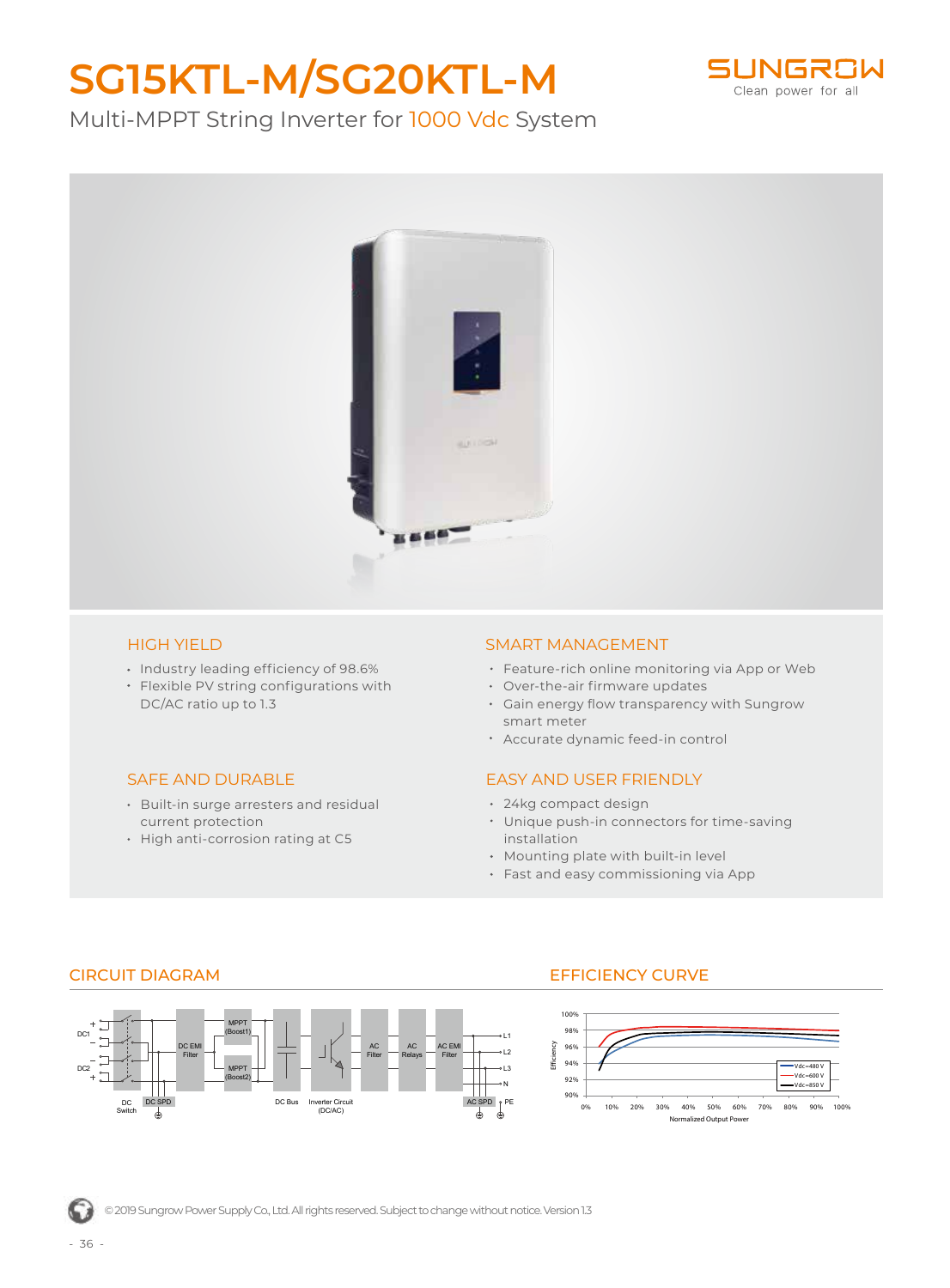# **SG15KTL-M/SG20KTL-M**



Multi-MPPT String Inverter for 1000 Vdc System



#### HIGH YIELD

- Industry leading efficiency of 98.6%
- Flexible PV string configurations with DC/AC ratio up to 1.3

### SAFE AND DURABLE

- Built-in surge arresters and residual current protection
- High anti-corrosion rating at C5

#### SMART MANAGEMENT

- Feature-rich online monitoring via App or Web
- Over-the-air firmware updates
- Gain energy flow transparency with Sungrow smart meter
- Accurate dynamic feed-in control

### EASY AND USER FRIENDLY

- 24kg compact design
- Unique push-in connectors for time-saving installation
- Mounting plate with built-in level
- Fast and easy commissioning via App



## CIRCUIT DIAGRAM EFFICIENCY CURVE